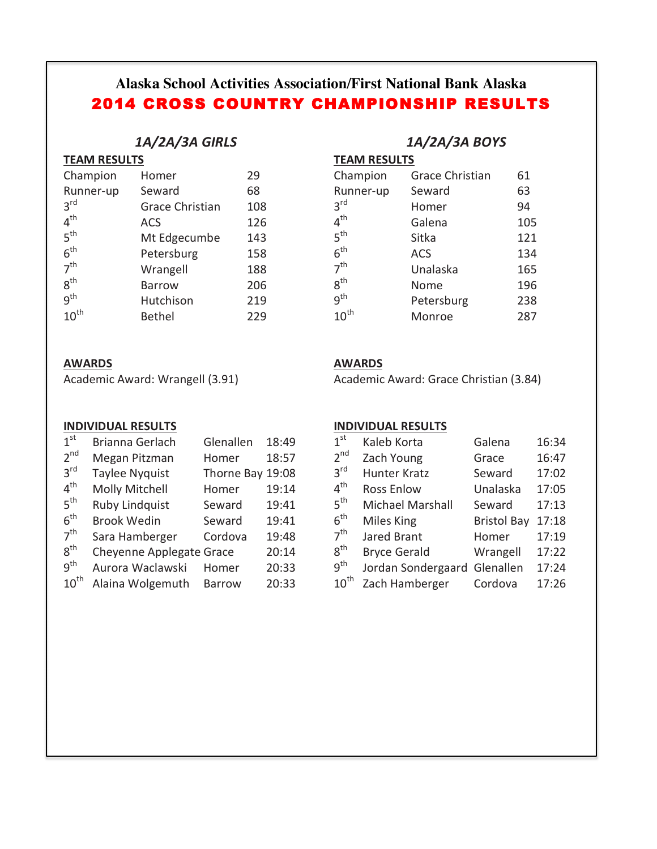# **Alaska School Activities Association/First National Bank Alaska** 2014 CROSS COUNTRY CHAMPIONSHIP RESULTS

# *1A/2A/3A GIRLS*

| Champion         | Homer                  | 29  |
|------------------|------------------------|-----|
| Runner-up        | Seward                 | 68  |
| 3 <sup>rd</sup>  | <b>Grace Christian</b> | 108 |
| $4^{\text{th}}$  | <b>ACS</b>             | 126 |
| 5 <sup>th</sup>  | Mt Edgecumbe           | 143 |
| 6 <sup>th</sup>  | Petersburg             | 158 |
| 7 <sup>th</sup>  | Wrangell               | 188 |
| $8^{\text{th}}$  | <b>Barrow</b>          | 206 |
| q <sup>th</sup>  | Hutchison              | 219 |
| $10^{\text{th}}$ | <b>Bethel</b>          | 229 |

# **AWARDS**

Academic Award: Wrangell (3.91)

### **INDIVIDUAL RESULTS**

| 1 <sup>st</sup>  | Brianna Gerlach          | Glenallen     | 18:49 |
|------------------|--------------------------|---------------|-------|
| 2 <sup>nd</sup>  | Megan Pitzman            | Homer         | 18:57 |
| 3 <sup>rd</sup>  | <b>Taylee Nyquist</b>    | Thorne Bay    | 19:08 |
| $4^{\text{th}}$  | <b>Molly Mitchell</b>    | Homer         | 19:14 |
| 5 <sup>th</sup>  | <b>Ruby Lindquist</b>    | Seward        | 19:41 |
| 6 <sup>th</sup>  | <b>Brook Wedin</b>       | Seward        | 19:41 |
| 7 <sup>th</sup>  | Sara Hamberger           | Cordova       | 19:48 |
| 8 <sup>th</sup>  | Cheyenne Applegate Grace |               | 20:14 |
| g <sup>th</sup>  | Aurora Waclawski         | Homer         | 20:33 |
| $10^{\text{th}}$ | Alaina Wolgemuth         | <b>Barrow</b> | 20:33 |

# *1A/2A/3A BOYS*

**TEAM RESULTS** 

| Champion         | <b>Grace Christian</b> | 61  |
|------------------|------------------------|-----|
| Runner-up        | Seward                 | 63  |
| 3 <sup>rd</sup>  | Homer                  | 94  |
| $4^{\text{th}}$  | Galena                 | 105 |
| 5 <sup>th</sup>  | Sitka                  | 121 |
| 6 <sup>th</sup>  | <b>ACS</b>             | 134 |
| 7 <sup>th</sup>  | Unalaska               | 165 |
| $8^{\text{th}}$  | Nome                   | 196 |
| q <sup>th</sup>  | Petersburg             | 238 |
| $10^{\text{th}}$ | Monroe                 | 287 |

# **AWARDS**

Academic Award: Grace Christian (3.84)

### **INDIVIDUAL RESULTS**

| 1 <sup>st</sup>  | Kaleb Korta         | Galena             | 16:34 |
|------------------|---------------------|--------------------|-------|
| 2 <sup>nd</sup>  | Zach Young          | Grace              | 16:47 |
| 3 <sup>rd</sup>  | Hunter Kratz        | Seward             | 17:02 |
| $4^{\text{th}}$  | <b>Ross Enlow</b>   | Unalaska           | 17:05 |
| 5 <sup>th</sup>  | Michael Marshall    | Seward             | 17:13 |
| 6 <sup>th</sup>  | Miles King          | <b>Bristol Bay</b> | 17:18 |
| 7 <sup>th</sup>  | Jared Brant         | Homer              | 17:19 |
| $8^{\text{th}}$  | <b>Bryce Gerald</b> | Wrangell           | 17:22 |
| 9 <sup>th</sup>  | Jordan Sondergaard  | Glenallen          | 17:24 |
| $10^{\text{th}}$ | Zach Hamberger      | Cordova            | 17:26 |